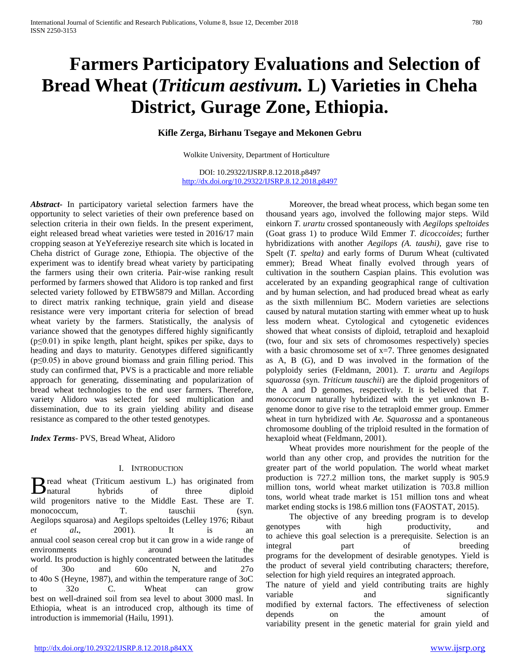# **Farmers Participatory Evaluations and Selection of Bread Wheat (***Triticum aestivum.* **L) Varieties in Cheha District, Gurage Zone, Ethiopia.**

# **Kifle Zerga, Birhanu Tsegaye and Mekonen Gebru**

Wolkite University, Department of Horticulture

DOI: 10.29322/IJSRP.8.12.2018.p8497 <http://dx.doi.org/10.29322/IJSRP.8.12.2018.p8497>

*Abstract***-** In participatory varietal selection farmers have the opportunity to select varieties of their own preference based on selection criteria in their own fields. In the present experiment, eight released bread wheat varieties were tested in 2016/17 main cropping season at YeYefereziye research site which is located in Cheha district of Gurage zone, Ethiopia. The objective of the experiment was to identify bread wheat variety by participating the farmers using their own criteria. Pair-wise ranking result performed by farmers showed that Alidoro is top ranked and first selected variety followed by ETBW5879 and Millan. According to direct matrix ranking technique, grain yield and disease resistance were very important criteria for selection of bread wheat variety by the farmers. Statistically, the analysis of variance showed that the genotypes differed highly significantly (p≤0.01) in spike length, plant height, spikes per spike, days to heading and days to maturity. Genotypes differed significantly (p≤0.05) in above ground biomass and grain filling period. This study can confirmed that, PVS is a practicable and more reliable approach for generating, disseminating and popularization of bread wheat technologies to the end user farmers. Therefore, variety Alidoro was selected for seed multiplication and dissemination, due to its grain yielding ability and disease resistance as compared to the other tested genotypes.

*Index Terms*- PVS, Bread Wheat, Alidoro

#### I. INTRODUCTION

**T** read wheat (Triticum aestivum L.) has originated from hybrids of three diploid wild progenitors native to the Middle East. These are T. monococcum, T. tauschii (syn. Aegilops squarosa) and Aegilops speltoides (Lelley 1976; Ribaut *et al***.**, 2001). It is an annual cool season cereal crop but it can grow in a wide range of environments around the world. Its production is highly concentrated between the latitudes of 30o and 60o N, and 27o to 40o S (Heyne, 1987), and within the temperature range of 3oC to 32o C. Wheat can grow best on well-drained soil from sea level to about 3000 masl. In Ethiopia, wheat is an introduced crop, although its time of introduction is immemorial (Hailu, 1991).  $B_{\text{natural}}$ 

 Moreover, the bread wheat process, which began some ten thousand years ago, involved the following major steps. Wild einkorn *T. urartu* crossed spontaneously with *Aegilops speltoides*  (Goat grass 1) to produce Wild Emmer *T. dicoccoides*; further hybridizations with another *Aegilops (A. taushi)*, gave rise to Spelt (*T. spelta)* and early forms of Durum Wheat (cultivated emmer); Bread Wheat finally evolved through years of cultivation in the southern Caspian plains. This evolution was accelerated by an expanding geographical range of cultivation and by human selection, and had produced bread wheat as early as the sixth millennium BC. Modern varieties are selections caused by natural mutation starting with emmer wheat up to husk less modern wheat. Cytological and cytogenetic evidences showed that wheat consists of diploid, tetraploid and hexaploid (two, four and six sets of chromosomes respectively) species with a basic chromosome set of  $x=7$ . Three genomes designated as A, B (G), and D was involved in the formation of the polyploidy series (Feldmann, 2001). *T. urartu* and *Aegilops squarossa* (syn. *Triticum tauschii*) are the diploid progenitors of the A and D genomes, respectively. It is believed that *T. monoccocum* naturally hybridized with the yet unknown Bgenome donor to give rise to the tetraploid emmer group. Emmer wheat in turn hybridized with *Ae. Squarossa* and a spontaneous chromosome doubling of the triploid resulted in the formation of hexaploid wheat (Feldmann, 2001).

 Wheat provides more nourishment for the people of the world than any other crop, and provides the nutrition for the greater part of the world population. The world wheat market production is 727.2 million tons, the market supply is 905.9 million tons, world wheat market utilization is 703.8 million tons, world wheat trade market is 151 million tons and wheat market ending stocks is 198.6 million tons (FAOSTAT, 2015).

 The objective of any breeding program is to develop genotypes with high productivity, and to achieve this goal selection is a prerequisite. Selection is an integral part of breeding programs for the development of desirable genotypes. Yield is the product of several yield contributing characters; therefore, selection for high yield requires an integrated approach. The nature of yield and yield contributing traits are highly variable and significantly modified by external factors. The effectiveness of selection depends on the amount of variability present in the genetic material for grain yield and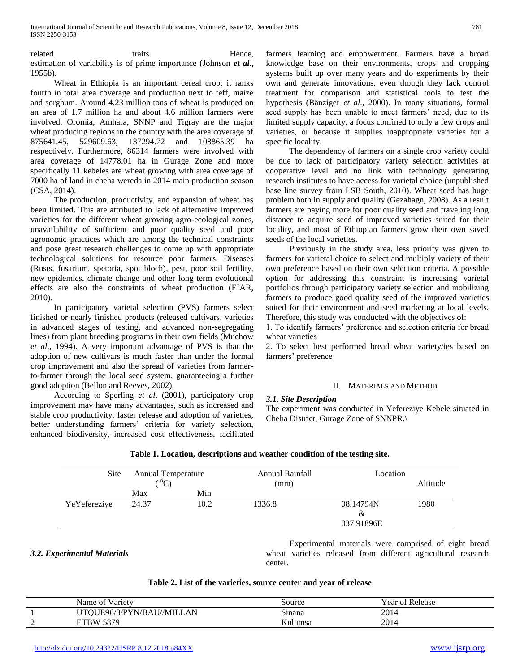related traits. Hence, estimation of variability is of prime importance (Johnson *et al***.,**  1955b).

 Wheat in Ethiopia is an important cereal crop; it ranks fourth in total area coverage and production next to teff, maize and sorghum. Around 4.23 million tons of wheat is produced on an area of 1.7 million ha and about 4.6 million farmers were involved. Oromia, Amhara, SNNP and Tigray are the major wheat producing regions in the country with the area coverage of 875641.45, 529609.63, 137294.72 and 108865.39 ha respectively. Furthermore, 86314 farmers were involved with area coverage of 14778.01 ha in Gurage Zone and more specifically 11 kebeles are wheat growing with area coverage of 7000 ha of land in cheha wereda in 2014 main production season (CSA, 2014).

 The production, productivity, and expansion of wheat has been limited. This are attributed to lack of alternative improved varieties for the different wheat growing agro-ecological zones, unavailability of sufficient and poor quality seed and poor agronomic practices which are among the technical constraints and pose great research challenges to come up with appropriate technological solutions for resource poor farmers. Diseases (Rusts, fusarium, spetoria, spot bloch), pest, poor soil fertility, new epidemics, climate change and other long term evolutional effects are also the constraints of wheat production (EIAR, 2010).

 In participatory varietal selection (PVS) farmers select finished or nearly finished products (released cultivars, varieties in advanced stages of testing, and advanced non-segregating lines) from plant breeding programs in their own fields (Muchow *et al*., 1994). A very important advantage of PVS is that the adoption of new cultivars is much faster than under the formal crop improvement and also the spread of varieties from farmerto-farmer through the local seed system, guaranteeing a further good adoption (Bellon and Reeves, 2002).

 According to Sperling *et al*. (2001), participatory crop improvement may have many advantages, such as increased and stable crop productivity, faster release and adoption of varieties, better understanding farmers' criteria for variety selection, enhanced biodiversity, increased cost effectiveness, facilitated farmers learning and empowerment. Farmers have a broad knowledge base on their environments, crops and cropping systems built up over many years and do experiments by their own and generate innovations, even though they lack control treatment for comparison and statistical tools to test the hypothesis (Bänziger *et al*., 2000). In many situations, formal seed supply has been unable to meet farmers' need, due to its limited supply capacity, a focus confined to only a few crops and varieties, or because it supplies inappropriate varieties for a specific locality.

 The dependency of farmers on a single crop variety could be due to lack of participatory variety selection activities at cooperative level and no link with technology generating research institutes to have access for varietal choice (unpublished base line survey from LSB South, 2010). Wheat seed has huge problem both in supply and quality (Gezahagn, 2008). As a result farmers are paying more for poor quality seed and traveling long distance to acquire seed of improved varieties suited for their locality, and most of Ethiopian farmers grow their own saved seeds of the local varieties.

 Previously in the study area, less priority was given to farmers for varietal choice to select and multiply variety of their own preference based on their own selection criteria. A possible option for addressing this constraint is increasing varietal portfolios through participatory variety selection and mobilizing farmers to produce good quality seed of the improved varieties suited for their environment and seed marketing at local levels. Therefore, this study was conducted with the objectives of:

1. To identify farmers' preference and selection criteria for bread wheat varieties

2. To select best performed bread wheat variety/ies based on farmers' preference

## II. MATERIALS AND METHOD

## *3.1. Site Description*

The experiment was conducted in Yefereziye Kebele situated in Cheha District, Gurage Zone of SNNPR.\

| Site         | <b>Annual Temperature</b><br>$^{\circ}$ C) |      | Annual Rainfall<br>(mm) | Location                     | Altitude |
|--------------|--------------------------------------------|------|-------------------------|------------------------------|----------|
|              | Max                                        | Min  |                         |                              |          |
| YeYefereziye | 24.37                                      | 10.2 | 1336.8                  | 08.14794N<br>&<br>037.91896E | 1980     |

# **Table 1. Location, descriptions and weather condition of the testing site.**

# *3.2. Experimental Materials*

 Experimental materials were comprised of eight bread wheat varieties released from different agricultural research center.

## **Table 2. List of the varieties, source center and year of release**

|        | <b>V</b> ariety<br>Name of | Source  | <b>Year of Release</b> |
|--------|----------------------------|---------|------------------------|
|        | TQUE96/3/PYN/BAU//MILLAN   | Sınana  | 2014                   |
| $\sim$ | 5879<br><b>ETBW</b>        | Kulumsa | 2014                   |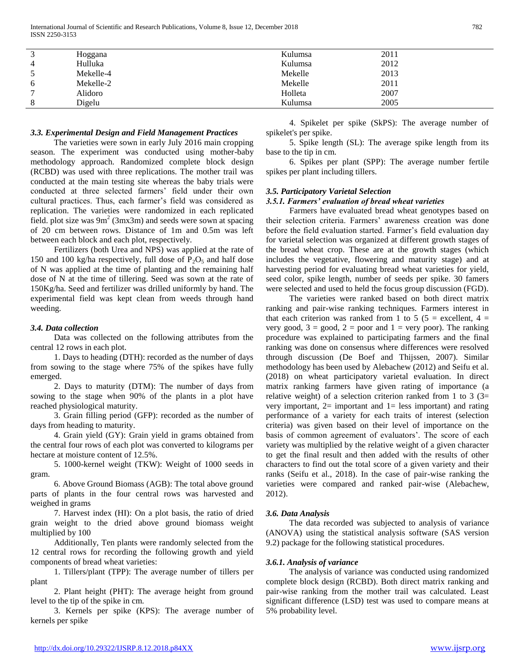| 3               | Hoggana   | Kulumsa | 2011 |  |
|-----------------|-----------|---------|------|--|
| $\overline{4}$  | Hulluka   | Kulumsa | 2012 |  |
|                 | Mekelle-4 | Mekelle | 2013 |  |
| <sub>0</sub>    | Mekelle-2 | Mekelle | 2011 |  |
| $\mathbf{\tau}$ | Alidoro   | Holleta | 2007 |  |
| 8               | Digelu    | Kulumsa | 2005 |  |
|                 |           |         |      |  |

## *3.3. Experimental Design and Field Management Practices*

 The varieties were sown in early July 2016 main cropping season. The experiment was conducted using mother-baby methodology approach. Randomized complete block design (RCBD) was used with three replications. The mother trail was conducted at the main testing site whereas the baby trials were conducted at three selected farmers' field under their own cultural practices. Thus, each farmer's field was considered as replication. The varieties were randomized in each replicated field. plot size was  $9m^2$  (3mx3m) and seeds were sown at spacing of 20 cm between rows. Distance of 1m and 0.5m was left between each block and each plot, respectively.

 Fertilizers (both Urea and NPS) was applied at the rate of 150 and 100 kg/ha respectively, full dose of  $P_2O_5$  and half dose of N was applied at the time of planting and the remaining half dose of N at the time of tillering. Seed was sown at the rate of 150Kg/ha. Seed and fertilizer was drilled uniformly by hand. The experimental field was kept clean from weeds through hand weeding.

## *3.4. Data collection*

 Data was collected on the following attributes from the central 12 rows in each plot.

 1. Days to heading (DTH): recorded as the number of days from sowing to the stage where 75% of the spikes have fully emerged.

 2. Days to maturity (DTM): The number of days from sowing to the stage when 90% of the plants in a plot have reached physiological maturity.

 3. Grain filling period (GFP): recorded as the number of days from heading to maturity.

 4. Grain yield (GY): Grain yield in grams obtained from the central four rows of each plot was converted to kilograms per hectare at moisture content of 12.5%.

 5. 1000-kernel weight (TKW): Weight of 1000 seeds in gram.

 6. Above Ground Biomass (AGB): The total above ground parts of plants in the four central rows was harvested and weighed in grams

 7. Harvest index (HI): On a plot basis, the ratio of dried grain weight to the dried above ground biomass weight multiplied by 100

 Additionally, Ten plants were randomly selected from the 12 central rows for recording the following growth and yield components of bread wheat varieties:

 1. Tillers/plant (TPP): The average number of tillers per plant

 2. Plant height (PHT): The average height from ground level to the tip of the spike in cm.

 3. Kernels per spike (KPS): The average number of kernels per spike

 4. Spikelet per spike (SkPS): The average number of spikelet's per spike.

 5. Spike length (SL): The average spike length from its base to the tip in cm.

 6. Spikes per plant (SPP): The average number fertile spikes per plant including tillers.

## *3.5. Participatory Varietal Selection*

## *3.5.1. Farmers' evaluation of bread wheat varieties*

 Farmers have evaluated bread wheat genotypes based on their selection criteria. Farmers' awareness creation was done before the field evaluation started. Farmer's field evaluation day for varietal selection was organized at different growth stages of the bread wheat crop. These are at the growth stages (which includes the vegetative, flowering and maturity stage) and at harvesting period for evaluating bread wheat varieties for yield, seed color, spike length, number of seeds per spike. 30 famers were selected and used to held the focus group discussion (FGD).

 The varieties were ranked based on both direct matrix ranking and pair-wise ranking techniques. Farmers interest in that each criterion was ranked from 1 to 5 (5 = excellent,  $4 =$ very good,  $3 = \text{good}$ ,  $2 = \text{poor}$  and  $1 = \text{very poor}$ . The ranking procedure was explained to participating farmers and the final ranking was done on consensus where differences were resolved through discussion (De Boef and Thijssen, 2007). Similar methodology has been used by Alebachew (2012) and Seifu et al. (2018) on wheat participatory varietal evaluation. In direct matrix ranking farmers have given rating of importance (a relative weight) of a selection criterion ranked from 1 to 3  $(3=$ very important,  $2=$  important and  $1=$  less important) and rating performance of a variety for each traits of interest (selection criteria) was given based on their level of importance on the basis of common agreement of evaluators'. The score of each variety was multiplied by the relative weight of a given character to get the final result and then added with the results of other characters to find out the total score of a given variety and their ranks (Seifu et al., 2018). In the case of pair-wise ranking the varieties were compared and ranked pair-wise (Alebachew, 2012).

## *3.6. Data Analysis*

 The data recorded was subjected to analysis of variance (ANOVA) using the statistical analysis software (SAS version 9.2) package for the following statistical procedures.

## *3.6.1. Analysis of variance*

 The analysis of variance was conducted using randomized complete block design (RCBD). Both direct matrix ranking and pair-wise ranking from the mother trail was calculated. Least significant difference (LSD) test was used to compare means at 5% probability level.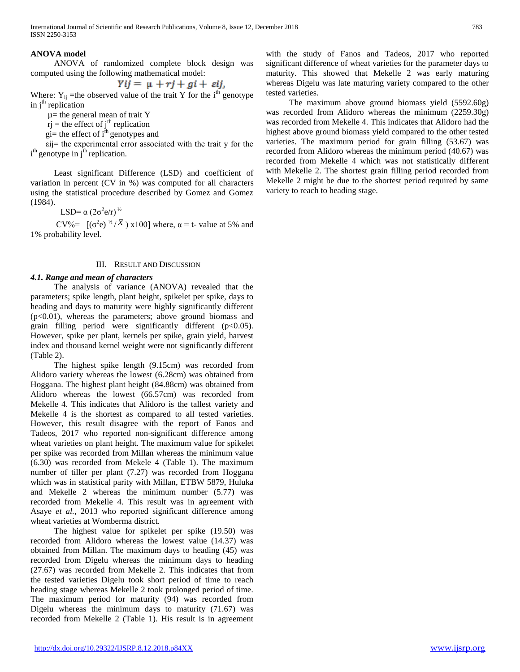## **ANOVA model**

 ANOVA of randomized complete block design was computed using the following mathematical model:

$$
Yij = \mu + rj + gi + \varepsilon ij,
$$

 $YU = \mu + rJ + gt + \varepsilon U,$ <br>Where: Y<sub>ij</sub> =the observed value of the trait Y for the i<sup>th</sup> genotype in  $j<sup>th</sup>$  replication

 $\mu$ = the general mean of trait Y

 $rj$  = the effect of  $j<sup>th</sup>$  replication

gi= the effect of  $i^{\text{th}}$  genotypes and

 εij= the experimental error associated with the trait y for the  $i<sup>th</sup>$  genotype in  $j<sup>th</sup>$  replication.

 Least significant Difference (LSD) and coefficient of variation in percent (CV in %) was computed for all characters using the statistical procedure described by Gomez and Gomez (1984).

LSD=  $\alpha$  (2σ<sup>2</sup>e/r)<sup>*1/2</sup>*</sup>

CV%=  $[(\sigma^2 e)^{1/2} / \overline{x})$  x100] where,  $\alpha$  = t- value at 5% and 1% probability level.

#### III. RESULT AND DISCUSSION

#### *4.1. Range and mean of characters*

 The analysis of variance (ANOVA) revealed that the parameters; spike length, plant height, spikelet per spike, days to heading and days to maturity were highly significantly different (p<0.01), whereas the parameters; above ground biomass and grain filling period were significantly different (p<0.05). However, spike per plant, kernels per spike, grain yield, harvest index and thousand kernel weight were not significantly different (Table 2).

 The highest spike length (9.15cm) was recorded from Alidoro variety whereas the lowest (6.28cm) was obtained from Hoggana. The highest plant height (84.88cm) was obtained from Alidoro whereas the lowest (66.57cm) was recorded from Mekelle 4. This indicates that Alidoro is the tallest variety and Mekelle 4 is the shortest as compared to all tested varieties. However, this result disagree with the report of Fanos and Tadeos, 2017 who reported non-significant difference among wheat varieties on plant height. The maximum value for spikelet per spike was recorded from Millan whereas the minimum value (6.30) was recorded from Mekele 4 (Table 1). The maximum number of tiller per plant (7.27) was recorded from Hoggana which was in statistical parity with Millan, ETBW 5879, Huluka and Mekelle 2 whereas the minimum number (5.77) was recorded from Mekelle 4. This result was in agreement with Asaye *et al.,* 2013 who reported significant difference among wheat varieties at Womberma district.

 The highest value for spikelet per spike (19.50) was recorded from Alidoro whereas the lowest value (14.37) was obtained from Millan. The maximum days to heading (45) was recorded from Digelu whereas the minimum days to heading (27.67) was recorded from Mekelle 2. This indicates that from the tested varieties Digelu took short period of time to reach heading stage whereas Mekelle 2 took prolonged period of time. The maximum period for maturity (94) was recorded from Digelu whereas the minimum days to maturity (71.67) was recorded from Mekelle 2 (Table 1). His result is in agreement

with the study of Fanos and Tadeos, 2017 who reported significant difference of wheat varieties for the parameter days to maturity. This showed that Mekelle 2 was early maturing whereas Digelu was late maturing variety compared to the other tested varieties.

 The maximum above ground biomass yield (5592.60g) was recorded from Alidoro whereas the minimum (2259.30g) was recorded from Mekelle 4. This indicates that Alidoro had the highest above ground biomass yield compared to the other tested varieties. The maximum period for grain filling (53.67) was recorded from Alidoro whereas the minimum period (40.67) was recorded from Mekelle 4 which was not statistically different with Mekelle 2. The shortest grain filling period recorded from Mekelle 2 might be due to the shortest period required by same variety to reach to heading stage.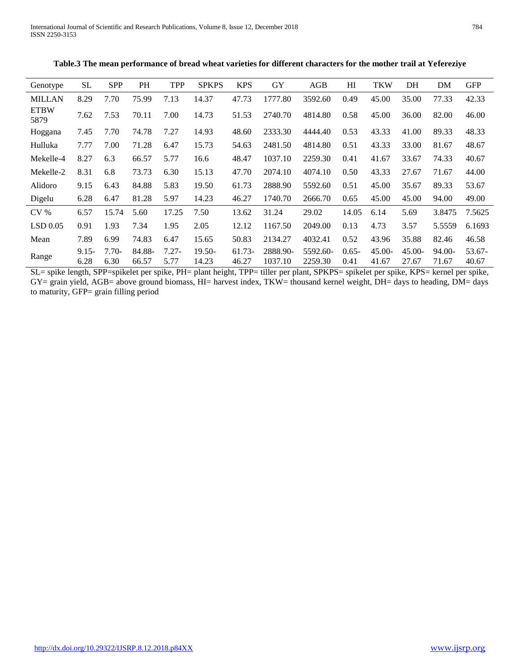International Journal of Scientific and Research Publications, Volume 8, Issue 12, December 2018 784 ISSN 2250-3153

| Genotype            | <b>SL</b>        | <b>SPP</b>      | <b>PH</b>       | <b>TPP</b>       | <b>SPKPS</b>      | <b>KPS</b>        | GY                  | AGB                 | HI               | <b>TKW</b>         | DH                 | DM              | <b>GFP</b>      |
|---------------------|------------------|-----------------|-----------------|------------------|-------------------|-------------------|---------------------|---------------------|------------------|--------------------|--------------------|-----------------|-----------------|
| <b>MILLAN</b>       | 8.29             | 7.70            | 75.99           | 7.13             | 14.37             | 47.73             | 1777.80             | 3592.60             | 0.49             | 45.00              | 35.00              | 77.33           | 42.33           |
| <b>ETBW</b><br>5879 | 7.62             | 7.53            | 70.11           | 7.00             | 14.73             | 51.53             | 2740.70             | 4814.80             | 0.58             | 45.00              | 36.00              | 82.00           | 46.00           |
| Hoggana             | 7.45             | 7.70            | 74.78           | 7.27             | 14.93             | 48.60             | 2333.30             | 4444.40             | 0.53             | 43.33              | 41.00              | 89.33           | 48.33           |
| Hulluka             | 7.77             | 7.00            | 71.28           | 6.47             | 15.73             | 54.63             | 2481.50             | 4814.80             | 0.51             | 43.33              | 33.00              | 81.67           | 48.67           |
| Mekelle-4           | 8.27             | 6.3             | 66.57           | 5.77             | 16.6              | 48.47             | 1037.10             | 2259.30             | 0.41             | 41.67              | 33.67              | 74.33           | 40.67           |
| Mekelle-2           | 8.31             | 6.8             | 73.73           | 6.30             | 15.13             | 47.70             | 2074.10             | 4074.10             | 0.50             | 43.33              | 27.67              | 71.67           | 44.00           |
| Alidoro             | 9.15             | 6.43            | 84.88           | 5.83             | 19.50             | 61.73             | 2888.90             | 5592.60             | 0.51             | 45.00              | 35.67              | 89.33           | 53.67           |
| Digelu              | 6.28             | 6.47            | 81.28           | 5.97             | 14.23             | 46.27             | 1740.70             | 2666.70             | 0.65             | 45.00              | 45.00              | 94.00           | 49.00           |
| CV <sub>0</sub>     | 6.57             | 15.74           | 5.60            | 17.25            | 7.50              | 13.62             | 31.24               | 29.02               | 14.05            | 6.14               | 5.69               | 3.8475          | 7.5625          |
| LSD 0.05            | 0.91             | 1.93            | 7.34            | 1.95             | 2.05              | 12.12             | 1167.50             | 2049.00             | 0.13             | 4.73               | 3.57               | 5.5559          | 6.1693          |
| Mean                | 7.89             | 6.99            | 74.83           | 6.47             | 15.65             | 50.83             | 2134.27             | 4032.41             | 0.52             | 43.96              | 35.88              | 82.46           | 46.58           |
| Range               | $9.15 -$<br>6.28 | $7.70-$<br>6.30 | 84.88-<br>66.57 | $7.27 -$<br>5.77 | $19.50-$<br>14.23 | $61.73-$<br>46.27 | 2888.90-<br>1037.10 | 5592.60-<br>2259.30 | $0.65 -$<br>0.41 | $45.00 -$<br>41.67 | $45.00 -$<br>27.67 | 94.00-<br>71.67 | 53.67-<br>40.67 |

**Table.3 The mean performance of bread wheat varieties for different characters for the mother trail at Yefereziye**

SL= spike length, SPP=spikelet per spike, PH= plant height, TPP= tiller per plant, SPKPS= spikelet per spike, KPS= kernel per spike, GY= grain yield, AGB= above ground biomass, HI= harvest index, TKW= thousand kernel weight, DH= days to heading, DM= days to maturity, GFP= grain filling period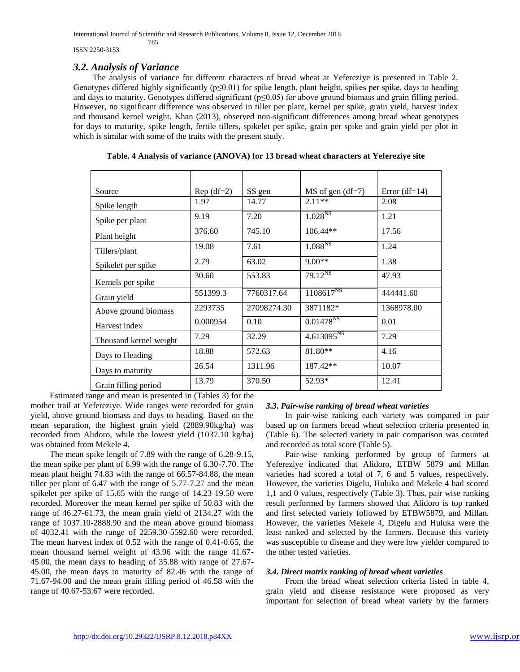ISSN 2250-3153

# *3.2. Analysis of Variance*

785

 The analysis of variance for different characters of bread wheat at Yefereziye is presented in Table 2. Genotypes differed highly significantly (p≤0.01) for spike length, plant height, spikes per spike, days to heading and days to maturity. Genotypes differed significant (p≤0.05) for above ground biomass and grain filling period. However, no significant difference was observed in tiller per plant, kernel per spike, grain yield, harvest index and thousand kernel weight. Khan (2013), observed non-significant differences among bread wheat genotypes for days to maturity, spike length, fertile tillers, spikelet per spike, grain per spike and grain yield per plot in which is similar with some of the traits with the present study.

| Source                 | $Rep(df=2)$ | SS gen      | $MS$ of gen (df=7)  | Error $(df=14)$ |
|------------------------|-------------|-------------|---------------------|-----------------|
| Spike length           | 1.97        | 14.77       | $2.11**$            | 2.08            |
| Spike per plant        | 9.19        | 7.20        | 1.028 <sup>NS</sup> | 1.21            |
| Plant height           | 376.60      | 745.10      | $106.44**$          | 17.56           |
| Tillers/plant          | 19.08       | 7.61        | $1.088^{NS}$        | 1.24            |
| Spikelet per spike     | 2.79        | 63.02       | $9.00**$            | 1.38            |
| Kernels per spike      | 30.60       | 553.83      | $79.12^{NS}$        | 47.93           |
| Grain yield            | 551399.3    | 7760317.64  | $1108617^{NS}$      | 444441.60       |
| Above ground biomass   | 2293735     | 27098274.30 | 3871182*            | 1368978.00      |
| Harvest index          | 0.000954    | 0.10        | $0.01478^{NS}$      | 0.01            |
| Thousand kernel weight | 7.29        | 32.29       | $4.613095^{NS}$     | 7.29            |
| Days to Heading        | 18.88       | 572.63      | 81.80**             | 4.16            |
| Days to maturity       | 26.54       | 1311.96     | 187.42**            | 10.07           |
| Grain filling period   | 13.79       | 370.50      | 52.93*              | 12.41           |

**Table. 4 Analysis of variance (ANOVA) for 13 bread wheat characters at Yefereziye site**

 Estimated range and mean is presented in (Tables 3) for the mother trail at Yefereziye. Wide ranges were recorded for grain yield, above ground biomass and days to heading. Based on the mean separation, the highest grain yield (2889.90kg/ha) was recorded from Alidoro, while the lowest yield (1037.10 kg/ha) was obtained from Mekele 4.

 The mean spike length of 7.89 with the range of 6.28-9.15, the mean spike per plant of 6.99 with the range of 6.30-7.70. The mean plant height 74.83 with the range of 66.57-84.88, the mean tiller per plant of 6.47 with the range of 5.77-7.27 and the mean spikelet per spike of 15.65 with the range of 14.23-19.50 were recorded. Moreover the mean kernel per spike of 50.83 with the range of 46.27-61.73, the mean grain yield of 2134.27 with the range of 1037.10-2888.90 and the mean above ground biomass of 4032.41 with the range of 2259.30-5592.60 were recorded. The mean harvest index of 0.52 with the range of 0.41-0.65, the mean thousand kernel weight of 43.96 with the range 41.67- 45.00, the mean days to heading of 35.88 with range of 27.67- 45.00, the mean days to maturity of 82.46 with the range of 71.67-94.00 and the mean grain filling period of 46.58 with the range of 40.67-53.67 were recorded.

## *3.3. Pair-wise ranking of bread wheat varieties*

 In pair-wise ranking each variety was compared in pair based up on farmers bread wheat selection criteria presented in (Table 6). The selected variety in pair comparison was counted and recorded as total score (Table 5).

 Pair-wise ranking performed by group of farmers at Yefereziye indicated that Alidoro, ETBW 5879 and Millan varieties had scored a total of 7, 6 and 5 values, respectively. However, the varieties Digelu, Huluka and Mekele 4 had scored 1,1 and 0 values, respectively (Table 3). Thus, pair wise ranking result performed by farmers showed that Alidoro is top ranked and first selected variety followed by ETBW5879, and Millan. However, the varieties Mekele 4, Digelu and Huluka were the least ranked and selected by the farmers. Because this variety was susceptible to disease and they were low yielder compared to the other tested varieties.

## *3.4. Direct matrix ranking of bread wheat varieties*

 From the bread wheat selection criteria listed in table 4, grain yield and disease resistance were proposed as very important for selection of bread wheat variety by the farmers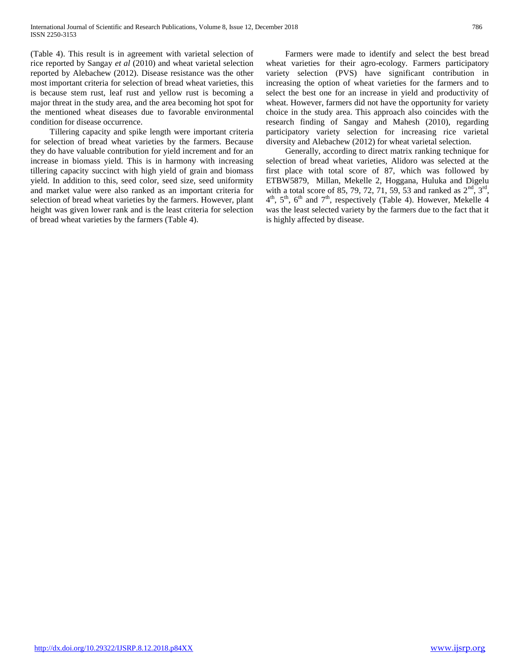(Table 4). This result is in agreement with varietal selection of rice reported by Sangay *et al* (2010) and wheat varietal selection reported by Alebachew (2012). Disease resistance was the other most important criteria for selection of bread wheat varieties, this is because stem rust, leaf rust and yellow rust is becoming a major threat in the study area, and the area becoming hot spot for the mentioned wheat diseases due to favorable environmental condition for disease occurrence.

 Tillering capacity and spike length were important criteria for selection of bread wheat varieties by the farmers. Because they do have valuable contribution for yield increment and for an increase in biomass yield. This is in harmony with increasing tillering capacity succinct with high yield of grain and biomass yield. In addition to this, seed color, seed size, seed uniformity and market value were also ranked as an important criteria for selection of bread wheat varieties by the farmers. However, plant height was given lower rank and is the least criteria for selection of bread wheat varieties by the farmers (Table 4).

 Farmers were made to identify and select the best bread wheat varieties for their agro-ecology. Farmers participatory variety selection (PVS) have significant contribution in increasing the option of wheat varieties for the farmers and to select the best one for an increase in yield and productivity of wheat. However, farmers did not have the opportunity for variety choice in the study area. This approach also coincides with the research finding of Sangay and Mahesh (2010), regarding participatory variety selection for increasing rice varietal diversity and Alebachew (2012) for wheat varietal selection.

 Generally, according to direct matrix ranking technique for selection of bread wheat varieties, Alidoro was selected at the first place with total score of 87, which was followed by ETBW5879, Millan, Mekelle 2, Hoggana, Huluka and Digelu with a total score of 85, 79, 72, 71, 59, 53 and ranked as  $2<sup>nd</sup>$ ,  $3<sup>rd</sup>$ ,  $4<sup>th</sup>$ ,  $5<sup>th</sup>$ ,  $6<sup>th</sup>$  and  $7<sup>th</sup>$ , respectively (Table 4). However, Mekelle 4 was the least selected variety by the farmers due to the fact that it is highly affected by disease.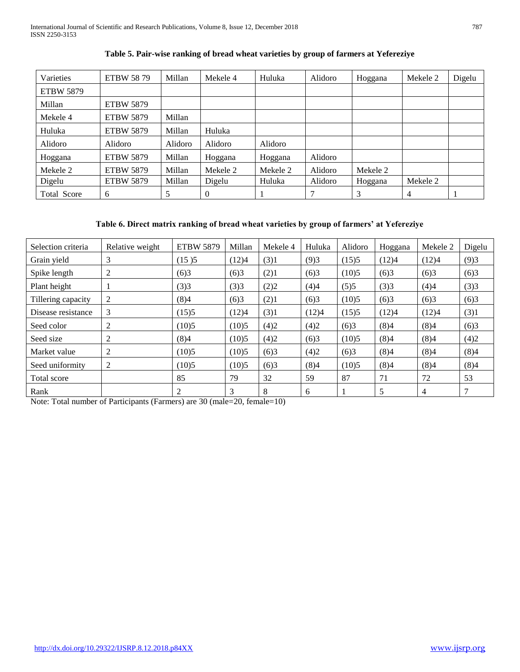| Varieties          | <b>ETBW 5879</b> | Millan  | Mekele 4 | Huluka   | Alidoro | Hoggana  | Mekele 2 | Digelu |
|--------------------|------------------|---------|----------|----------|---------|----------|----------|--------|
| <b>ETBW 5879</b>   |                  |         |          |          |         |          |          |        |
| Millan             | <b>ETBW 5879</b> |         |          |          |         |          |          |        |
| Mekele 4           | <b>ETBW 5879</b> | Millan  |          |          |         |          |          |        |
| Huluka             | <b>ETBW 5879</b> | Millan  | Huluka   |          |         |          |          |        |
| Alidoro            | Alidoro          | Alidoro | Alidoro  | Alidoro  |         |          |          |        |
| Hoggana            | <b>ETBW 5879</b> | Millan  | Hoggana  | Hoggana  | Alidoro |          |          |        |
| Mekele 2           | <b>ETBW 5879</b> | Millan  | Mekele 2 | Mekele 2 | Alidoro | Mekele 2 |          |        |
| Digelu             | <b>ETBW 5879</b> | Millan  | Digelu   | Huluka   | Alidoro | Hoggana  | Mekele 2 |        |
| <b>Total Score</b> | 6                | 5       | $\theta$ |          | 7       | 3        | 4        |        |

# **Table 5. Pair-wise ranking of bread wheat varieties by group of farmers at Yefereziye**

# **Table 6. Direct matrix ranking of bread wheat varieties by group of farmers' at Yefereziye**

| Selection criteria | Relative weight | <b>ETBW 5879</b> | Millan | Mekele 4 | Huluka | Alidoro | Hoggana | Mekele 2 | Digelu |
|--------------------|-----------------|------------------|--------|----------|--------|---------|---------|----------|--------|
| Grain yield        | 3               | (15)5            | (12)4  | (3)1     | (9)3   | (15)5   | (12)4   | (12)4    | (9)3   |
| Spike length       | 2               | (6)3             | (6)3   | (2)1     | (6)3   | (10)5   | (6)3    | (6)3     | (6)3   |
| Plant height       |                 | (3)3             | (3)3   | (2)2     | (4)4   | (5)5    | (3)3    | (4)4     | (3)3   |
| Tillering capacity | 2               | (8)4             | (6)3   | (2)1     | (6)3   | (10)5   | (6)3    | (6)3     | (6)3   |
| Disease resistance | 3               | (15)5            | (12)4  | (3)1     | (12)4  | (15)5   | (12)4   | (12)4    | (3)1   |
| Seed color         | 2               | (10)5            | (10)5  | (4)2     | (4)2   | (6)3    | (8)4    | (8)4     | (6)3   |
| Seed size          | 2               | (8)4             | (10)5  | (4)2     | (6)3   | (10)5   | (8)4    | (8)4     | (4)2   |
| Market value       | 2               | (10)5            | (10)5  | (6)3     | (4)2   | (6)3    | (8)4    | (8)4     | (8)4   |
| Seed uniformity    | 2               | (10)5            | (10)5  | (6)3     | (8)4   | (10)5   | (8)4    | (8)4     | (8)4   |
| Total score        |                 | 85               | 79     | 32       | 59     | 87      | 71      | 72       | 53     |
| Rank               |                 | $\overline{2}$   | 3      | 8        | 6      |         | 5       | 4        | 7      |

Note: Total number of Participants (Farmers) are 30 (male=20, female=10)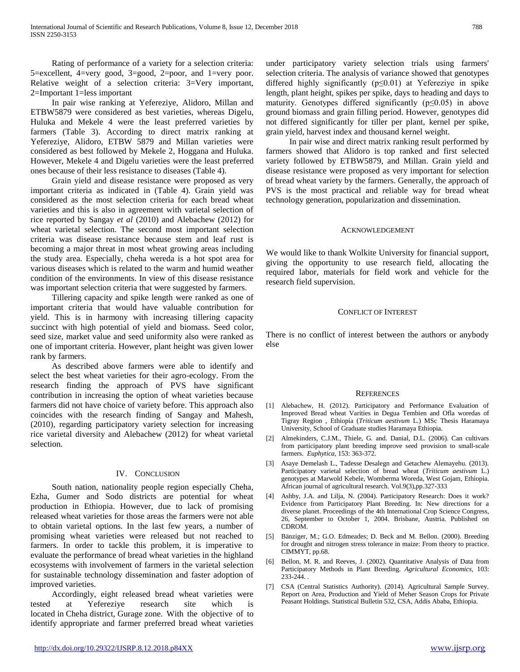Rating of performance of a variety for a selection criteria: 5=excellent, 4=very good, 3=good, 2=poor, and 1=very poor. Relative weight of a selection criteria: 3=Very important, 2=Important 1=less important

 In pair wise ranking at Yefereziye, Alidoro, Millan and ETBW5879 were considered as best varieties, whereas Digelu, Huluka and Mekele 4 were the least preferred varieties by farmers (Table 3). According to direct matrix ranking at Yefereziye, Alidoro, ETBW 5879 and Millan varieties were considered as best followed by Mekele 2, Hoggana and Huluka. However, Mekele 4 and Digelu varieties were the least preferred ones because of their less resistance to diseases (Table 4).

 Grain yield and disease resistance were proposed as very important criteria as indicated in (Table 4). Grain yield was considered as the most selection criteria for each bread wheat varieties and this is also in agreement with varietal selection of rice reported by Sangay *et al* (2010) and Alebachew (2012) for wheat varietal selection. The second most important selection criteria was disease resistance because stem and leaf rust is becoming a major threat in most wheat growing areas including the study area. Especially, cheha wereda is a hot spot area for various diseases which is related to the warm and humid weather condition of the environments. In view of this disease resistance was important selection criteria that were suggested by farmers.

 Tillering capacity and spike length were ranked as one of important criteria that would have valuable contribution for yield. This is in harmony with increasing tillering capacity succinct with high potential of yield and biomass. Seed color, seed size, market value and seed uniformity also were ranked as one of important criteria. However, plant height was given lower rank by farmers.

 As described above farmers were able to identify and select the best wheat varieties for their agro-ecology. From the research finding the approach of PVS have significant contribution in increasing the option of wheat varieties because farmers did not have choice of variety before. This approach also coincides with the research finding of Sangay and Mahesh, (2010), regarding participatory variety selection for increasing rice varietal diversity and Alebachew (2012) for wheat varietal selection.

## IV. CONCLUSION

 South nation, nationality people region especially Cheha, Ezha, Gumer and Sodo districts are potential for wheat production in Ethiopia. However, due to lack of promising released wheat varieties for those areas the farmers were not able to obtain varietal options. In the last few years, a number of promising wheat varieties were released but not reached to farmers. In order to tackle this problem, it is imperative to evaluate the performance of bread wheat varieties in the highland ecosystems with involvement of farmers in the varietal selection for sustainable technology dissemination and faster adoption of improved varieties.

 Accordingly, eight released bread wheat varieties were tested at Yefereziye research site which is located in Cheha district, Gurage zone. With the objective of to identify appropriate and farmer preferred bread wheat varieties

under participatory variety selection trials using farmers' selection criteria. The analysis of variance showed that genotypes differed highly significantly (p≤0.01) at Yefereziye in spike length, plant height, spikes per spike, days to heading and days to maturity. Genotypes differed significantly ( $p \le 0.05$ ) in above ground biomass and grain filling period. However, genotypes did not differed significantly for tiller per plant, kernel per spike, grain yield, harvest index and thousand kernel weight.

 In pair wise and direct matrix ranking result performed by farmers showed that Alidoro is top ranked and first selected variety followed by ETBW5879, and Millan. Grain yield and disease resistance were proposed as very important for selection of bread wheat variety by the farmers. Generally, the approach of PVS is the most practical and reliable way for bread wheat technology generation, popularization and dissemination.

#### ACKNOWLEDGEMENT

We would like to thank Wolkite University for financial support, giving the opportunity to use research field, allocating the required labor, materials for field work and vehicle for the research field supervision.

#### CONFLICT OF INTEREST

There is no conflict of interest between the authors or anybody else

#### **REFERENCES**

- [1] Alebachew, H. (2012). Participatory and Performance Evaluation of Improved Bread wheat Varities in Degua Tembien and Ofla woredas of Tigray Region , Ethiopia (*Triticum aestivum* L.) MSc Thesis Haramaya University, School of Graduate studies Haramaya Ethiopia.
- [2] Almekinders, C.J.M., Thiele, G. and. Danial, D.L. (2006). Can cultivars from participatory plant breeding improve seed provision to small-scale farmers. *Euphytica,* 153: 363-372.
- [3] Asaye Demelash L., Tadesse Desalegn and Getachew Alemayehu. (2013). Participatory varietal selection of bread wheat (*Triticum aestivum* L.) genotypes at Marwold Kebele, Womberma Woreda, West Gojam, Ethiopia. African journal of agricultural research. Vol.9(3),pp.327-333
- [4] Ashby, J.A. and Lilja, N. (2004). Participatory Research: Does it work? Evidence from Participatory Plant Breeding. In: New directions for a diverse planet. Proceedings of the 4th International Crop Science Congress, 26, September to October 1, 2004. Brisbane, Austria. Published on CDROM.
- [5] Bänziger, M.; G.O. Edmeades; D. Beck and M. Bellon. (2000). Breeding for drought and nitrogen stress tolerance in maize: From theory to practice. CIMMYT, pp.68.
- [6] Bellon, M. R. and Reeves, J. (2002). Quantitative Analysis of Data from Participatory Methods in Plant Breeding. *Agricultural Economics,* 103: 233-244. .
- [7] CSA (Central Statistics Authority). (2014). Agricultural Sample Survey. Report on Area, Production and Yield of Meher Season Crops for Private Peasant Holdings. Statistical Bulletin 532, CSA, Addis Ababa, Ethiopia.